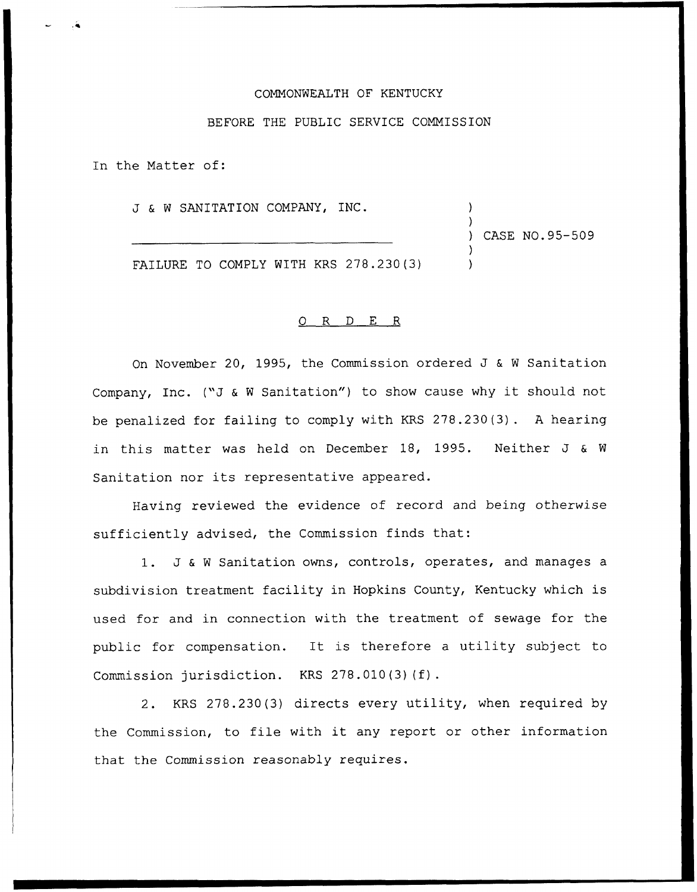## COMMONWEALTH OF KENTUCKY

## BEFORE THE PUBLIC SERVICE COMMISSION

In the Matter of:

J & <sup>W</sup> SANITATION COMPANY, INC.

) CASE NO. 95-509

) )

) )

FAILURE TO COMPLY WITH KRS 278.230(3)

## 0 R <sup>D</sup> E R

On November 20, 1995, the Commission ordered J & <sup>W</sup> Sanitation Company, Inc. ("J & W Sanitation") to show cause why it should not be penalized for failing to comply with KRS 278.230(3) . <sup>A</sup> hearing in this matter was held on December 18, 1995. Neither J & <sup>W</sup> Sanitation nor its representative appeared.

Having reviewed the evidence of record and being otherwise sufficiently advised, the Commission finds that:

1. J & <sup>W</sup> Sanitation owns, controls, operates, and manages <sup>a</sup> subdivision treatment facility in Hopkins County, Kentucky which is used for and in connection with the treatment of sewage for the public for compensation. It is therefore <sup>a</sup> utility subject to Commission jurisdiction. KRS 278.010(3)(f).

2. KRS 278.230(3) directs every utility, when required by the Commission, to file with it any report or other information that the Commission reasonably requires.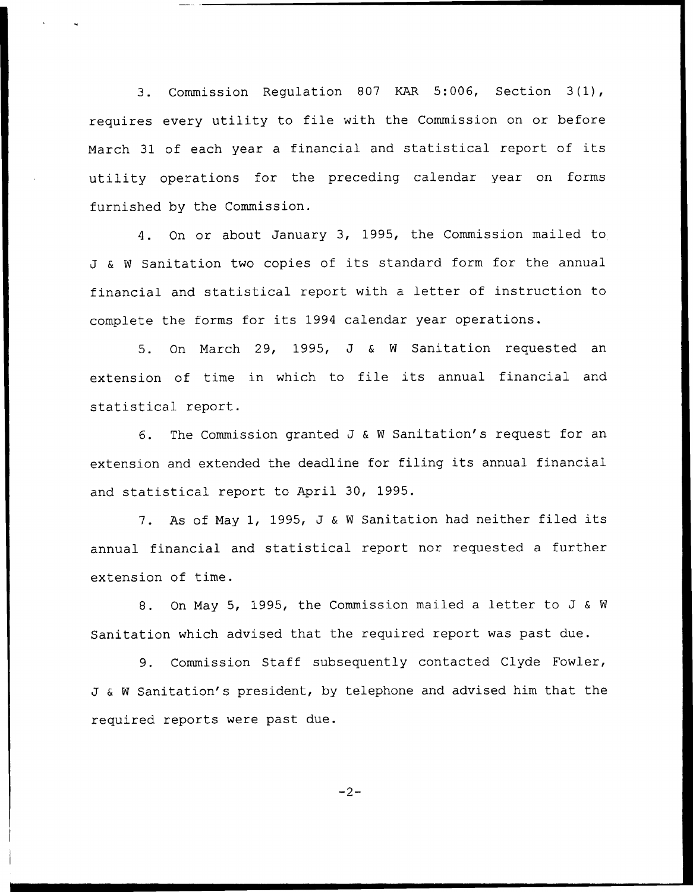3. Commission Regulation <sup>807</sup> KAR 5:006, Section 3(1), requires every utility to file with the Commission on or before March 31 of each year <sup>a</sup> financial and statistical report of its utility operations for the preceding calendar year on forms furnished by the Commission.

4. On or about January 3, 1995, the Commission mailed to J & <sup>W</sup> Sanitation two copies of its standard form for the annual financial and statistical report with <sup>a</sup> letter of instruction to complete the forms for its 1994 calendar year operations.

5. On March 29, 1995, J & <sup>W</sup> Sanitation requested an extension of time in which to file its annual financial and statistical report.

6. The Commission granted J & W Sanitation's request for an extension and extended the deadline for filing its annual financial and statistical report to April 30, 1995.

7. As of May 1, 1995, J & <sup>W</sup> Sanitation had neither filed its annual financial and statistical report nor requested a further extension of time.

8. On May 5, 1995, the Commission mailed <sup>a</sup> letter to J & <sup>W</sup> Sanitation which advised that the required report was past due.

9. Commission Staff subsequently contacted Clyde Fowler, J & <sup>W</sup> Sanitation's president, by telephone and advised him that the required reports were past due.

 $-2-$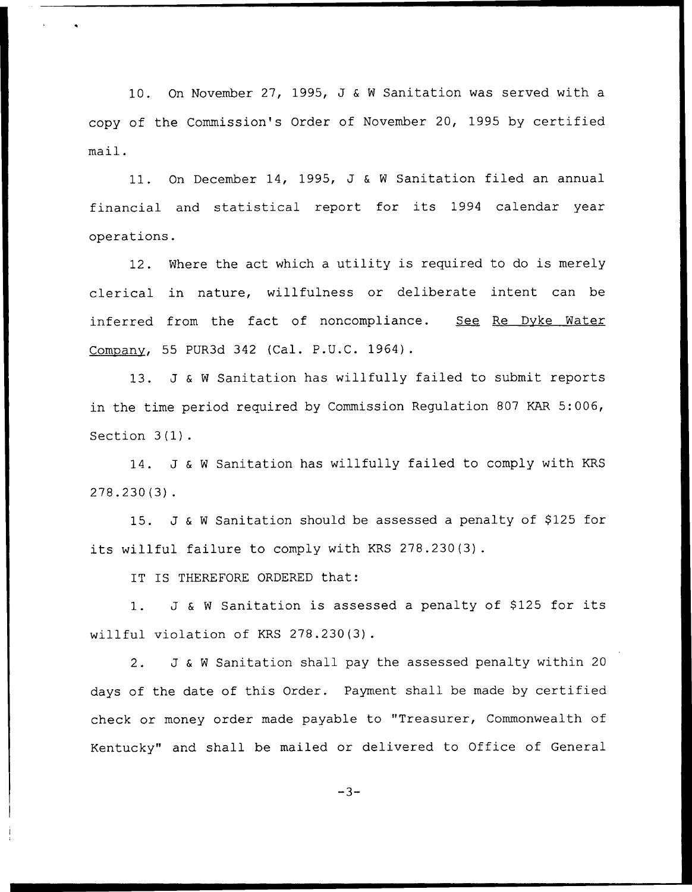10. On November 27, 1995, J & <sup>W</sup> Sanitation was served with a copy of the Commission's Order of November 20, 1995 by certified mail.

11. On December 14, 1995, J & <sup>W</sup> Sanitation filed an annual financial and statistical report for its 1994 calendar year operations.

12. Where the act which <sup>a</sup> utility is required to do is merely clerical in nature, willfulness or deliberate intent can be inferred from the fact of noncompliance. See Re Dyke Water Company, 55 PUR3d 342 (Cal. P.U.C. 1964).

13. J & <sup>W</sup> Sanitation has willfully failed to submit reports in the time period required by Commission Regulation 807 KAR 5:006, Section 3(1).

14. J & <sup>W</sup> Sanitation has willfully failed to comply with KRS 278.230(3).

15. J & W Sanitation should be assessed a penalty of \$125 for its willful failure to comply with KRS 278.230(3).

IT IS THEREFORE ORDERED that:

1. J & W Sanitation is assessed a penalty of \$125 for its willful violation of KRS 278.230(3).

2. J & <sup>W</sup> Sanitation shall pay the assessed penalty within <sup>20</sup> days of the date of this Order. Payment shall be made by certified check or money order made payable to "Treasurer, Commonwealth of Kentucky" and shall be mailed or delivered to Office of General

 $-3-$